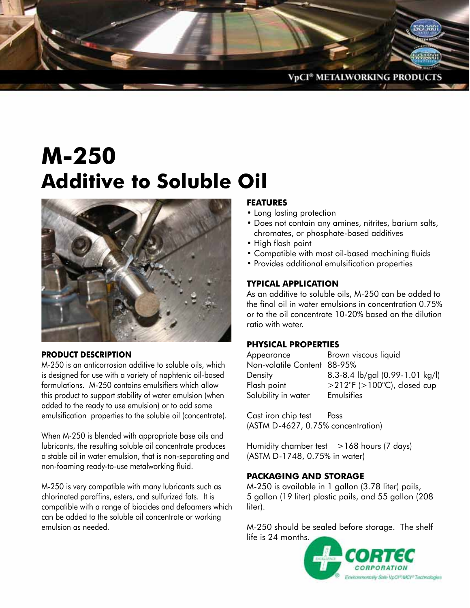

# **M-250 Additive to Soluble Oil**



### **PRODUCT DESCRIPTION**

M-250 is an anticorrosion additive to soluble oils, which is designed for use with a variety of naphtenic oil-based formulations. M-250 contains emulsifiers which allow this product to support stability of water emulsion (when added to the ready to use emulsion) or to add some emulsification properties to the soluble oil (concentrate).

When M-250 is blended with appropriate base oils and lubricants, the resulting soluble oil concentrate produces a stable oil in water emulsion, that is non-separating and non-foaming ready-to-use metalworking fluid.

M-250 is very compatible with many lubricants such as chlorinated paraffins, esters, and sulfurized fats. It is compatible with a range of biocides and defoamers which can be added to the soluble oil concentrate or working emulsion as needed.

## **FEATURES**

- Long lasting protection
- • Does not contain any amines, nitrites, barium salts, chromates, or phosphate-based additives
- High flash point
- Compatible with most oil-based machining fluids
- • Provides additional emulsification properties

### **TYPICAL APPLICATION**

As an additive to soluble oils, M-250 can be added to the final oil in water emulsions in concentration 0.75% or to the oil concentrate 10-20% based on the dilution ratio with water.

#### **PHYSICAL PROPERTIES**

| Appearance                  | Brown viscous liquid               |
|-----------------------------|------------------------------------|
| Non-volatile Content 88-95% |                                    |
| Density                     | 8.3-8.4 lb/gal (0.99-1.01 kg/l)    |
| Flash point                 | $>$ 212°F ( $>$ 100°C), closed cup |
| Solubility in water         | Emulsifies                         |

Cast iron chip test Pass (ASTM D-4627, 0.75% concentration)

Humidity chamber test >168 hours (7 days) (ASTM D-1748, 0.75% in water)

### **PACKAGING AND STORAGE**

M-250 is available in 1 gallon (3.78 liter) pails, 5 gallon (19 liter) plastic pails, and 55 gallon (208 liter).

M-250 should be sealed before storage. The shelf life is 24 months.